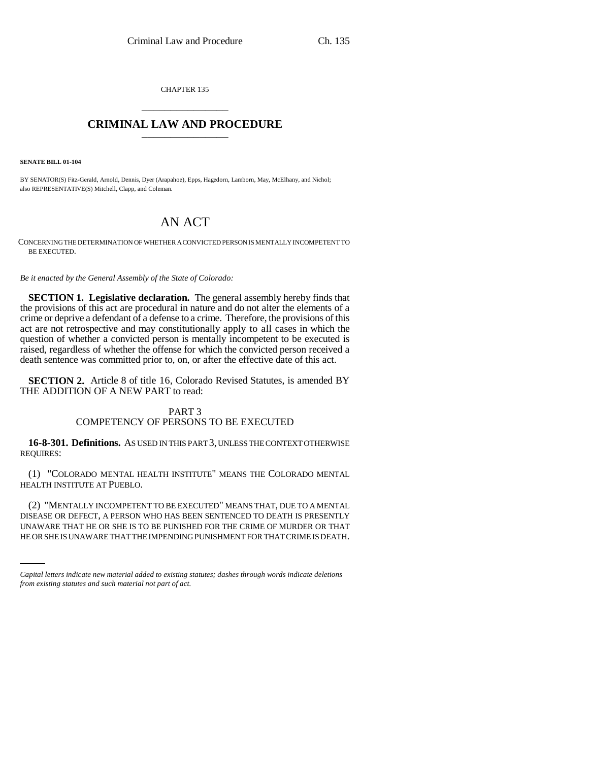CHAPTER 135 \_\_\_\_\_\_\_\_\_\_\_\_\_\_\_

## **CRIMINAL LAW AND PROCEDURE** \_\_\_\_\_\_\_\_\_\_\_\_\_\_\_

**SENATE BILL 01-104**

BY SENATOR(S) Fitz-Gerald, Arnold, Dennis, Dyer (Arapahoe), Epps, Hagedorn, Lamborn, May, McElhany, and Nichol; also REPRESENTATIVE(S) Mitchell, Clapp, and Coleman.

# AN ACT

CONCERNING THE DETERMINATION OF WHETHER A CONVICTED PERSON IS MENTALLY INCOMPETENT TO BE EXECUTED.

*Be it enacted by the General Assembly of the State of Colorado:*

**SECTION 1. Legislative declaration.** The general assembly hereby finds that the provisions of this act are procedural in nature and do not alter the elements of a crime or deprive a defendant of a defense to a crime. Therefore, the provisions of this act are not retrospective and may constitutionally apply to all cases in which the question of whether a convicted person is mentally incompetent to be executed is raised, regardless of whether the offense for which the convicted person received a death sentence was committed prior to, on, or after the effective date of this act.

**SECTION 2.** Article 8 of title 16, Colorado Revised Statutes, is amended BY THE ADDITION OF A NEW PART to read:

## PART 3 COMPETENCY OF PERSONS TO BE EXECUTED

**16-8-301. Definitions.** AS USED IN THIS PART 3, UNLESS THE CONTEXT OTHERWISE REQUIRES:

(1) "COLORADO MENTAL HEALTH INSTITUTE" MEANS THE COLORADO MENTAL HEALTH INSTITUTE AT PUEBLO.

DISEASE OR DEFECT, A PERSON WHO HAS BEEN SENTENCED TO DEATH IS PRESENTLY (2) "MENTALLY INCOMPETENT TO BE EXECUTED" MEANS THAT, DUE TO A MENTAL UNAWARE THAT HE OR SHE IS TO BE PUNISHED FOR THE CRIME OF MURDER OR THAT HE OR SHE IS UNAWARE THAT THE IMPENDING PUNISHMENT FOR THAT CRIME IS DEATH.

*Capital letters indicate new material added to existing statutes; dashes through words indicate deletions from existing statutes and such material not part of act.*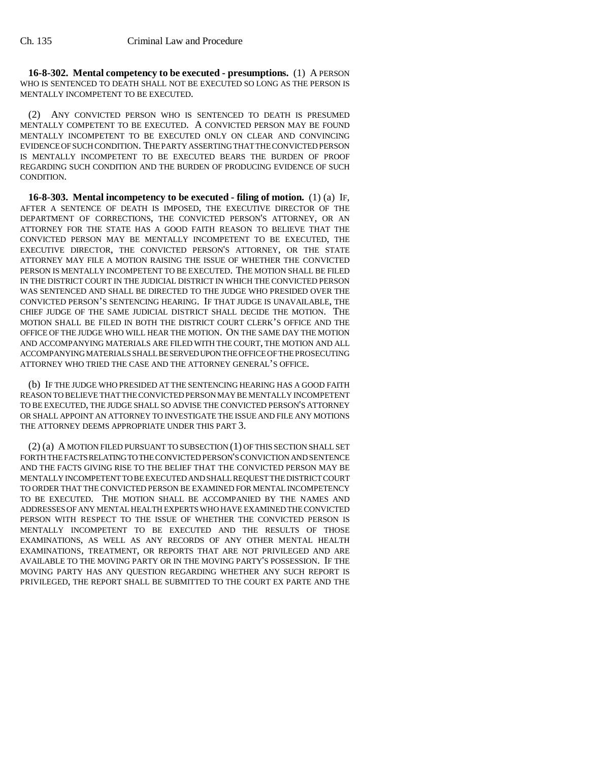**16-8-302. Mental competency to be executed - presumptions.** (1) A PERSON WHO IS SENTENCED TO DEATH SHALL NOT BE EXECUTED SO LONG AS THE PERSON IS MENTALLY INCOMPETENT TO BE EXECUTED.

(2) ANY CONVICTED PERSON WHO IS SENTENCED TO DEATH IS PRESUMED MENTALLY COMPETENT TO BE EXECUTED. A CONVICTED PERSON MAY BE FOUND MENTALLY INCOMPETENT TO BE EXECUTED ONLY ON CLEAR AND CONVINCING EVIDENCE OF SUCH CONDITION. THE PARTY ASSERTING THAT THE CONVICTED PERSON IS MENTALLY INCOMPETENT TO BE EXECUTED BEARS THE BURDEN OF PROOF REGARDING SUCH CONDITION AND THE BURDEN OF PRODUCING EVIDENCE OF SUCH CONDITION.

**16-8-303. Mental incompetency to be executed - filing of motion.** (1) (a) IF, AFTER A SENTENCE OF DEATH IS IMPOSED, THE EXECUTIVE DIRECTOR OF THE DEPARTMENT OF CORRECTIONS, THE CONVICTED PERSON'S ATTORNEY, OR AN ATTORNEY FOR THE STATE HAS A GOOD FAITH REASON TO BELIEVE THAT THE CONVICTED PERSON MAY BE MENTALLY INCOMPETENT TO BE EXECUTED, THE EXECUTIVE DIRECTOR, THE CONVICTED PERSON'S ATTORNEY, OR THE STATE ATTORNEY MAY FILE A MOTION RAISING THE ISSUE OF WHETHER THE CONVICTED PERSON IS MENTALLY INCOMPETENT TO BE EXECUTED. THE MOTION SHALL BE FILED IN THE DISTRICT COURT IN THE JUDICIAL DISTRICT IN WHICH THE CONVICTED PERSON WAS SENTENCED AND SHALL BE DIRECTED TO THE JUDGE WHO PRESIDED OVER THE CONVICTED PERSON'S SENTENCING HEARING. IF THAT JUDGE IS UNAVAILABLE, THE CHIEF JUDGE OF THE SAME JUDICIAL DISTRICT SHALL DECIDE THE MOTION. THE MOTION SHALL BE FILED IN BOTH THE DISTRICT COURT CLERK'S OFFICE AND THE OFFICE OF THE JUDGE WHO WILL HEAR THE MOTION. ON THE SAME DAY THE MOTION AND ACCOMPANYING MATERIALS ARE FILED WITH THE COURT, THE MOTION AND ALL ACCOMPANYING MATERIALS SHALL BE SERVED UPON THE OFFICE OF THE PROSECUTING ATTORNEY WHO TRIED THE CASE AND THE ATTORNEY GENERAL'S OFFICE.

(b) IF THE JUDGE WHO PRESIDED AT THE SENTENCING HEARING HAS A GOOD FAITH REASON TO BELIEVE THAT THE CONVICTED PERSON MAY BE MENTALLY INCOMPETENT TO BE EXECUTED, THE JUDGE SHALL SO ADVISE THE CONVICTED PERSON'S ATTORNEY OR SHALL APPOINT AN ATTORNEY TO INVESTIGATE THE ISSUE AND FILE ANY MOTIONS THE ATTORNEY DEEMS APPROPRIATE UNDER THIS PART 3.

(2) (a) A MOTION FILED PURSUANT TO SUBSECTION (1) OF THIS SECTION SHALL SET FORTH THE FACTS RELATING TO THE CONVICTED PERSON'S CONVICTION AND SENTENCE AND THE FACTS GIVING RISE TO THE BELIEF THAT THE CONVICTED PERSON MAY BE MENTALLY INCOMPETENT TO BE EXECUTED AND SHALL REQUEST THE DISTRICT COURT TO ORDER THAT THE CONVICTED PERSON BE EXAMINED FOR MENTAL INCOMPETENCY TO BE EXECUTED. THE MOTION SHALL BE ACCOMPANIED BY THE NAMES AND ADDRESSES OF ANY MENTAL HEALTH EXPERTS WHO HAVE EXAMINED THE CONVICTED PERSON WITH RESPECT TO THE ISSUE OF WHETHER THE CONVICTED PERSON IS MENTALLY INCOMPETENT TO BE EXECUTED AND THE RESULTS OF THOSE EXAMINATIONS, AS WELL AS ANY RECORDS OF ANY OTHER MENTAL HEALTH EXAMINATIONS, TREATMENT, OR REPORTS THAT ARE NOT PRIVILEGED AND ARE AVAILABLE TO THE MOVING PARTY OR IN THE MOVING PARTY'S POSSESSION. IF THE MOVING PARTY HAS ANY QUESTION REGARDING WHETHER ANY SUCH REPORT IS PRIVILEGED, THE REPORT SHALL BE SUBMITTED TO THE COURT EX PARTE AND THE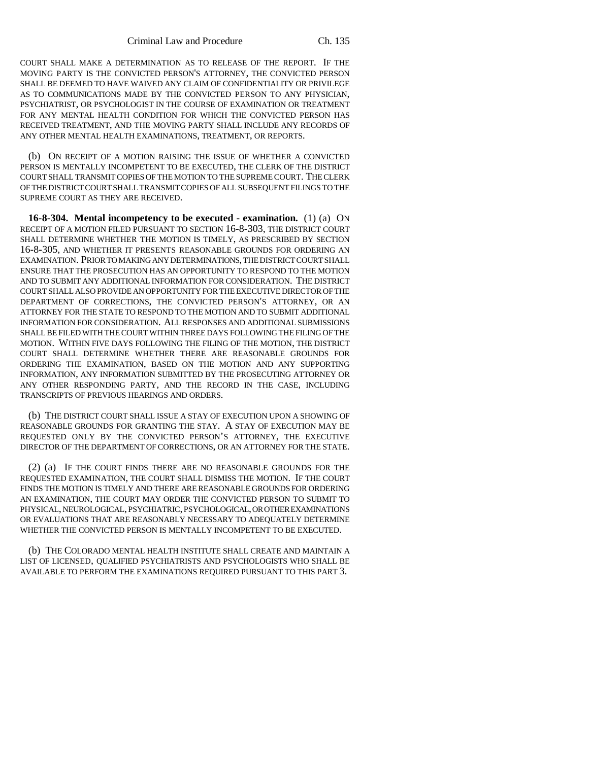COURT SHALL MAKE A DETERMINATION AS TO RELEASE OF THE REPORT. IF THE MOVING PARTY IS THE CONVICTED PERSON'S ATTORNEY, THE CONVICTED PERSON SHALL BE DEEMED TO HAVE WAIVED ANY CLAIM OF CONFIDENTIALITY OR PRIVILEGE AS TO COMMUNICATIONS MADE BY THE CONVICTED PERSON TO ANY PHYSICIAN, PSYCHIATRIST, OR PSYCHOLOGIST IN THE COURSE OF EXAMINATION OR TREATMENT FOR ANY MENTAL HEALTH CONDITION FOR WHICH THE CONVICTED PERSON HAS RECEIVED TREATMENT, AND THE MOVING PARTY SHALL INCLUDE ANY RECORDS OF ANY OTHER MENTAL HEALTH EXAMINATIONS, TREATMENT, OR REPORTS.

(b) ON RECEIPT OF A MOTION RAISING THE ISSUE OF WHETHER A CONVICTED PERSON IS MENTALLY INCOMPETENT TO BE EXECUTED, THE CLERK OF THE DISTRICT COURT SHALL TRANSMIT COPIES OF THE MOTION TO THE SUPREME COURT. THE CLERK OF THE DISTRICT COURT SHALL TRANSMIT COPIES OF ALL SUBSEQUENT FILINGS TO THE SUPREME COURT AS THEY ARE RECEIVED.

**16-8-304. Mental incompetency to be executed - examination.** (1) (a) ON RECEIPT OF A MOTION FILED PURSUANT TO SECTION 16-8-303, THE DISTRICT COURT SHALL DETERMINE WHETHER THE MOTION IS TIMELY, AS PRESCRIBED BY SECTION 16-8-305, AND WHETHER IT PRESENTS REASONABLE GROUNDS FOR ORDERING AN EXAMINATION. PRIOR TO MAKING ANY DETERMINATIONS, THE DISTRICT COURT SHALL ENSURE THAT THE PROSECUTION HAS AN OPPORTUNITY TO RESPOND TO THE MOTION AND TO SUBMIT ANY ADDITIONAL INFORMATION FOR CONSIDERATION. THE DISTRICT COURT SHALL ALSO PROVIDE AN OPPORTUNITY FOR THE EXECUTIVE DIRECTOR OF THE DEPARTMENT OF CORRECTIONS, THE CONVICTED PERSON'S ATTORNEY, OR AN ATTORNEY FOR THE STATE TO RESPOND TO THE MOTION AND TO SUBMIT ADDITIONAL INFORMATION FOR CONSIDERATION. ALL RESPONSES AND ADDITIONAL SUBMISSIONS SHALL BE FILED WITH THE COURT WITHIN THREE DAYS FOLLOWING THE FILING OF THE MOTION. WITHIN FIVE DAYS FOLLOWING THE FILING OF THE MOTION, THE DISTRICT COURT SHALL DETERMINE WHETHER THERE ARE REASONABLE GROUNDS FOR ORDERING THE EXAMINATION, BASED ON THE MOTION AND ANY SUPPORTING INFORMATION, ANY INFORMATION SUBMITTED BY THE PROSECUTING ATTORNEY OR ANY OTHER RESPONDING PARTY, AND THE RECORD IN THE CASE, INCLUDING TRANSCRIPTS OF PREVIOUS HEARINGS AND ORDERS.

(b) THE DISTRICT COURT SHALL ISSUE A STAY OF EXECUTION UPON A SHOWING OF REASONABLE GROUNDS FOR GRANTING THE STAY. A STAY OF EXECUTION MAY BE REQUESTED ONLY BY THE CONVICTED PERSON'S ATTORNEY, THE EXECUTIVE DIRECTOR OF THE DEPARTMENT OF CORRECTIONS, OR AN ATTORNEY FOR THE STATE.

(2) (a) IF THE COURT FINDS THERE ARE NO REASONABLE GROUNDS FOR THE REQUESTED EXAMINATION, THE COURT SHALL DISMISS THE MOTION. IF THE COURT FINDS THE MOTION IS TIMELY AND THERE ARE REASONABLE GROUNDS FOR ORDERING AN EXAMINATION, THE COURT MAY ORDER THE CONVICTED PERSON TO SUBMIT TO PHYSICAL, NEUROLOGICAL, PSYCHIATRIC, PSYCHOLOGICAL, OR OTHER EXAMINATIONS OR EVALUATIONS THAT ARE REASONABLY NECESSARY TO ADEQUATELY DETERMINE WHETHER THE CONVICTED PERSON IS MENTALLY INCOMPETENT TO BE EXECUTED.

(b) THE COLORADO MENTAL HEALTH INSTITUTE SHALL CREATE AND MAINTAIN A LIST OF LICENSED, QUALIFIED PSYCHIATRISTS AND PSYCHOLOGISTS WHO SHALL BE AVAILABLE TO PERFORM THE EXAMINATIONS REQUIRED PURSUANT TO THIS PART 3.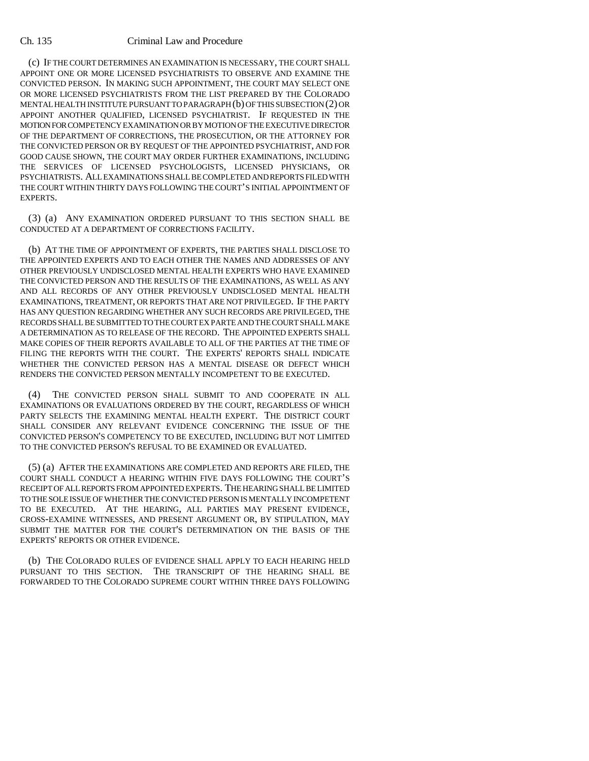### Ch. 135 Criminal Law and Procedure

(c) IF THE COURT DETERMINES AN EXAMINATION IS NECESSARY, THE COURT SHALL APPOINT ONE OR MORE LICENSED PSYCHIATRISTS TO OBSERVE AND EXAMINE THE CONVICTED PERSON. IN MAKING SUCH APPOINTMENT, THE COURT MAY SELECT ONE OR MORE LICENSED PSYCHIATRISTS FROM THE LIST PREPARED BY THE COLORADO MENTAL HEALTH INSTITUTE PURSUANT TO PARAGRAPH (b) OF THIS SUBSECTION (2) OR APPOINT ANOTHER QUALIFIED, LICENSED PSYCHIATRIST. IF REQUESTED IN THE MOTION FOR COMPETENCY EXAMINATION OR BY MOTION OF THE EXECUTIVE DIRECTOR OF THE DEPARTMENT OF CORRECTIONS, THE PROSECUTION, OR THE ATTORNEY FOR THE CONVICTED PERSON OR BY REQUEST OF THE APPOINTED PSYCHIATRIST, AND FOR GOOD CAUSE SHOWN, THE COURT MAY ORDER FURTHER EXAMINATIONS, INCLUDING THE SERVICES OF LICENSED PSYCHOLOGISTS, LICENSED PHYSICIANS, OR PSYCHIATRISTS. ALL EXAMINATIONS SHALL BE COMPLETED AND REPORTS FILED WITH THE COURT WITHIN THIRTY DAYS FOLLOWING THE COURT'S INITIAL APPOINTMENT OF EXPERTS.

(3) (a) ANY EXAMINATION ORDERED PURSUANT TO THIS SECTION SHALL BE CONDUCTED AT A DEPARTMENT OF CORRECTIONS FACILITY.

(b) AT THE TIME OF APPOINTMENT OF EXPERTS, THE PARTIES SHALL DISCLOSE TO THE APPOINTED EXPERTS AND TO EACH OTHER THE NAMES AND ADDRESSES OF ANY OTHER PREVIOUSLY UNDISCLOSED MENTAL HEALTH EXPERTS WHO HAVE EXAMINED THE CONVICTED PERSON AND THE RESULTS OF THE EXAMINATIONS, AS WELL AS ANY AND ALL RECORDS OF ANY OTHER PREVIOUSLY UNDISCLOSED MENTAL HEALTH EXAMINATIONS, TREATMENT, OR REPORTS THAT ARE NOT PRIVILEGED. IF THE PARTY HAS ANY QUESTION REGARDING WHETHER ANY SUCH RECORDS ARE PRIVILEGED, THE RECORDS SHALL BE SUBMITTED TO THE COURT EX PARTE AND THE COURT SHALL MAKE A DETERMINATION AS TO RELEASE OF THE RECORD. THE APPOINTED EXPERTS SHALL MAKE COPIES OF THEIR REPORTS AVAILABLE TO ALL OF THE PARTIES AT THE TIME OF FILING THE REPORTS WITH THE COURT. THE EXPERTS' REPORTS SHALL INDICATE WHETHER THE CONVICTED PERSON HAS A MENTAL DISEASE OR DEFECT WHICH RENDERS THE CONVICTED PERSON MENTALLY INCOMPETENT TO BE EXECUTED.

(4) THE CONVICTED PERSON SHALL SUBMIT TO AND COOPERATE IN ALL EXAMINATIONS OR EVALUATIONS ORDERED BY THE COURT, REGARDLESS OF WHICH PARTY SELECTS THE EXAMINING MENTAL HEALTH EXPERT. THE DISTRICT COURT SHALL CONSIDER ANY RELEVANT EVIDENCE CONCERNING THE ISSUE OF THE CONVICTED PERSON'S COMPETENCY TO BE EXECUTED, INCLUDING BUT NOT LIMITED TO THE CONVICTED PERSON'S REFUSAL TO BE EXAMINED OR EVALUATED.

(5) (a) AFTER THE EXAMINATIONS ARE COMPLETED AND REPORTS ARE FILED, THE COURT SHALL CONDUCT A HEARING WITHIN FIVE DAYS FOLLOWING THE COURT'S RECEIPT OF ALL REPORTS FROM APPOINTED EXPERTS. THE HEARING SHALL BE LIMITED TO THE SOLE ISSUE OF WHETHER THE CONVICTED PERSON IS MENTALLY INCOMPETENT TO BE EXECUTED. AT THE HEARING, ALL PARTIES MAY PRESENT EVIDENCE, CROSS-EXAMINE WITNESSES, AND PRESENT ARGUMENT OR, BY STIPULATION, MAY SUBMIT THE MATTER FOR THE COURT'S DETERMINATION ON THE BASIS OF THE EXPERTS' REPORTS OR OTHER EVIDENCE.

(b) THE COLORADO RULES OF EVIDENCE SHALL APPLY TO EACH HEARING HELD PURSUANT TO THIS SECTION. THE TRANSCRIPT OF THE HEARING SHALL BE FORWARDED TO THE COLORADO SUPREME COURT WITHIN THREE DAYS FOLLOWING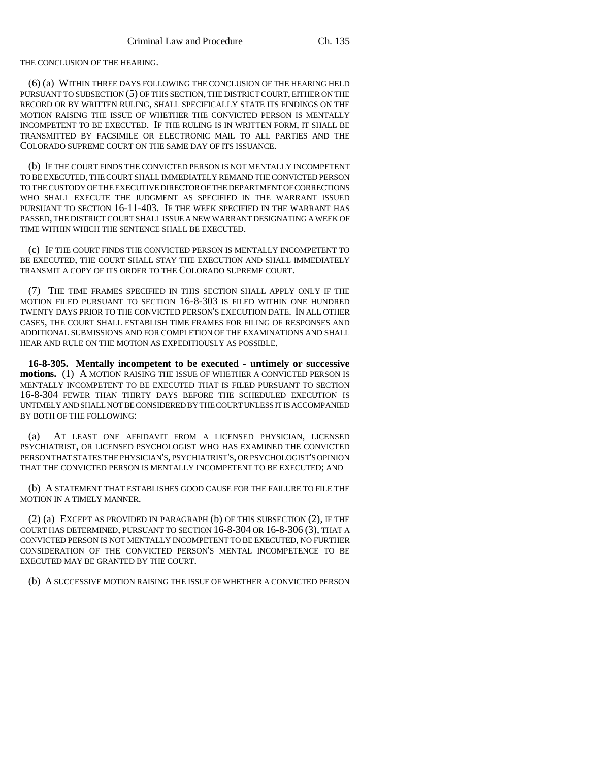THE CONCLUSION OF THE HEARING.

(6) (a) WITHIN THREE DAYS FOLLOWING THE CONCLUSION OF THE HEARING HELD PURSUANT TO SUBSECTION (5) OF THIS SECTION, THE DISTRICT COURT, EITHER ON THE RECORD OR BY WRITTEN RULING, SHALL SPECIFICALLY STATE ITS FINDINGS ON THE MOTION RAISING THE ISSUE OF WHETHER THE CONVICTED PERSON IS MENTALLY INCOMPETENT TO BE EXECUTED. IF THE RULING IS IN WRITTEN FORM, IT SHALL BE TRANSMITTED BY FACSIMILE OR ELECTRONIC MAIL TO ALL PARTIES AND THE COLORADO SUPREME COURT ON THE SAME DAY OF ITS ISSUANCE.

(b) IF THE COURT FINDS THE CONVICTED PERSON IS NOT MENTALLY INCOMPETENT TO BE EXECUTED, THE COURT SHALL IMMEDIATELY REMAND THE CONVICTED PERSON TO THE CUSTODY OF THE EXECUTIVE DIRECTOR OF THE DEPARTMENT OF CORRECTIONS WHO SHALL EXECUTE THE JUDGMENT AS SPECIFIED IN THE WARRANT ISSUED PURSUANT TO SECTION 16-11-403. IF THE WEEK SPECIFIED IN THE WARRANT HAS PASSED, THE DISTRICT COURT SHALL ISSUE A NEW WARRANT DESIGNATING A WEEK OF TIME WITHIN WHICH THE SENTENCE SHALL BE EXECUTED.

(c) IF THE COURT FINDS THE CONVICTED PERSON IS MENTALLY INCOMPETENT TO BE EXECUTED, THE COURT SHALL STAY THE EXECUTION AND SHALL IMMEDIATELY TRANSMIT A COPY OF ITS ORDER TO THE COLORADO SUPREME COURT.

(7) THE TIME FRAMES SPECIFIED IN THIS SECTION SHALL APPLY ONLY IF THE MOTION FILED PURSUANT TO SECTION 16-8-303 IS FILED WITHIN ONE HUNDRED TWENTY DAYS PRIOR TO THE CONVICTED PERSON'S EXECUTION DATE. IN ALL OTHER CASES, THE COURT SHALL ESTABLISH TIME FRAMES FOR FILING OF RESPONSES AND ADDITIONAL SUBMISSIONS AND FOR COMPLETION OF THE EXAMINATIONS AND SHALL HEAR AND RULE ON THE MOTION AS EXPEDITIOUSLY AS POSSIBLE.

**16-8-305. Mentally incompetent to be executed - untimely or successive motions.** (1) A MOTION RAISING THE ISSUE OF WHETHER A CONVICTED PERSON IS MENTALLY INCOMPETENT TO BE EXECUTED THAT IS FILED PURSUANT TO SECTION 16-8-304 FEWER THAN THIRTY DAYS BEFORE THE SCHEDULED EXECUTION IS UNTIMELY AND SHALL NOT BE CONSIDERED BY THE COURT UNLESS IT IS ACCOMPANIED BY BOTH OF THE FOLLOWING:

(a) AT LEAST ONE AFFIDAVIT FROM A LICENSED PHYSICIAN, LICENSED PSYCHIATRIST, OR LICENSED PSYCHOLOGIST WHO HAS EXAMINED THE CONVICTED PERSON THAT STATES THE PHYSICIAN'S, PSYCHIATRIST'S, OR PSYCHOLOGIST'S OPINION THAT THE CONVICTED PERSON IS MENTALLY INCOMPETENT TO BE EXECUTED; AND

(b) A STATEMENT THAT ESTABLISHES GOOD CAUSE FOR THE FAILURE TO FILE THE MOTION IN A TIMELY MANNER.

(2) (a) EXCEPT AS PROVIDED IN PARAGRAPH (b) OF THIS SUBSECTION (2), IF THE COURT HAS DETERMINED, PURSUANT TO SECTION 16-8-304 OR 16-8-306 (3), THAT A CONVICTED PERSON IS NOT MENTALLY INCOMPETENT TO BE EXECUTED, NO FURTHER CONSIDERATION OF THE CONVICTED PERSON'S MENTAL INCOMPETENCE TO BE EXECUTED MAY BE GRANTED BY THE COURT.

(b) A SUCCESSIVE MOTION RAISING THE ISSUE OF WHETHER A CONVICTED PERSON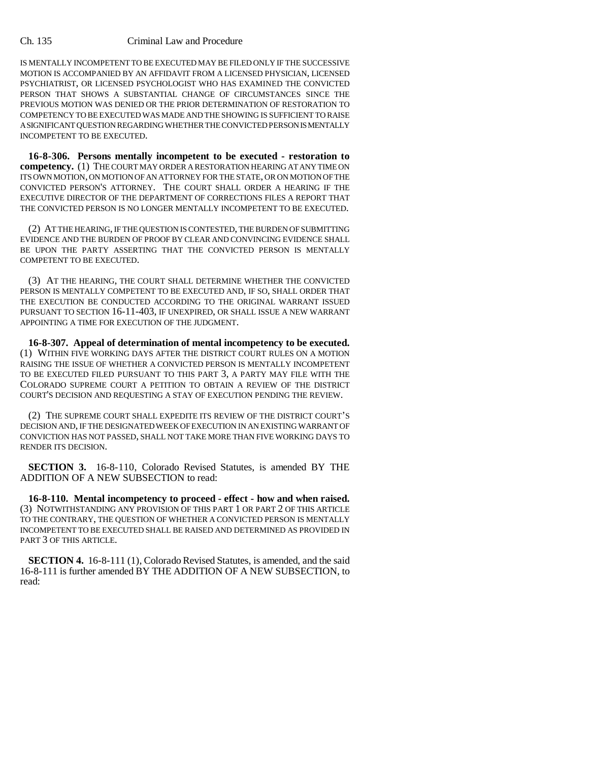### Ch. 135 Criminal Law and Procedure

IS MENTALLY INCOMPETENT TO BE EXECUTED MAY BE FILED ONLY IF THE SUCCESSIVE MOTION IS ACCOMPANIED BY AN AFFIDAVIT FROM A LICENSED PHYSICIAN, LICENSED PSYCHIATRIST, OR LICENSED PSYCHOLOGIST WHO HAS EXAMINED THE CONVICTED PERSON THAT SHOWS A SUBSTANTIAL CHANGE OF CIRCUMSTANCES SINCE THE PREVIOUS MOTION WAS DENIED OR THE PRIOR DETERMINATION OF RESTORATION TO COMPETENCY TO BE EXECUTED WAS MADE AND THE SHOWING IS SUFFICIENT TO RAISE A SIGNIFICANT QUESTION REGARDING WHETHER THE CONVICTED PERSON IS MENTALLY INCOMPETENT TO BE EXECUTED.

**16-8-306. Persons mentally incompetent to be executed - restoration to competency.** (1) THE COURT MAY ORDER A RESTORATION HEARING AT ANY TIME ON ITS OWN MOTION, ON MOTION OF AN ATTORNEY FOR THE STATE, OR ON MOTION OF THE CONVICTED PERSON'S ATTORNEY. THE COURT SHALL ORDER A HEARING IF THE EXECUTIVE DIRECTOR OF THE DEPARTMENT OF CORRECTIONS FILES A REPORT THAT THE CONVICTED PERSON IS NO LONGER MENTALLY INCOMPETENT TO BE EXECUTED.

(2) AT THE HEARING, IF THE QUESTION IS CONTESTED, THE BURDEN OF SUBMITTING EVIDENCE AND THE BURDEN OF PROOF BY CLEAR AND CONVINCING EVIDENCE SHALL BE UPON THE PARTY ASSERTING THAT THE CONVICTED PERSON IS MENTALLY COMPETENT TO BE EXECUTED.

(3) AT THE HEARING, THE COURT SHALL DETERMINE WHETHER THE CONVICTED PERSON IS MENTALLY COMPETENT TO BE EXECUTED AND, IF SO, SHALL ORDER THAT THE EXECUTION BE CONDUCTED ACCORDING TO THE ORIGINAL WARRANT ISSUED PURSUANT TO SECTION 16-11-403, IF UNEXPIRED, OR SHALL ISSUE A NEW WARRANT APPOINTING A TIME FOR EXECUTION OF THE JUDGMENT.

**16-8-307. Appeal of determination of mental incompetency to be executed.** (1) WITHIN FIVE WORKING DAYS AFTER THE DISTRICT COURT RULES ON A MOTION RAISING THE ISSUE OF WHETHER A CONVICTED PERSON IS MENTALLY INCOMPETENT TO BE EXECUTED FILED PURSUANT TO THIS PART 3, A PARTY MAY FILE WITH THE COLORADO SUPREME COURT A PETITION TO OBTAIN A REVIEW OF THE DISTRICT COURT'S DECISION AND REQUESTING A STAY OF EXECUTION PENDING THE REVIEW.

(2) THE SUPREME COURT SHALL EXPEDITE ITS REVIEW OF THE DISTRICT COURT'S DECISION AND, IF THE DESIGNATED WEEK OF EXECUTION IN AN EXISTING WARRANT OF CONVICTION HAS NOT PASSED, SHALL NOT TAKE MORE THAN FIVE WORKING DAYS TO RENDER ITS DECISION.

**SECTION 3.** 16-8-110, Colorado Revised Statutes, is amended BY THE ADDITION OF A NEW SUBSECTION to read:

**16-8-110. Mental incompetency to proceed - effect - how and when raised.** (3) NOTWITHSTANDING ANY PROVISION OF THIS PART 1 OR PART 2 OF THIS ARTICLE TO THE CONTRARY, THE QUESTION OF WHETHER A CONVICTED PERSON IS MENTALLY INCOMPETENT TO BE EXECUTED SHALL BE RAISED AND DETERMINED AS PROVIDED IN PART 3 OF THIS ARTICLE.

**SECTION 4.** 16-8-111 (1), Colorado Revised Statutes, is amended, and the said 16-8-111 is further amended BY THE ADDITION OF A NEW SUBSECTION, to read: